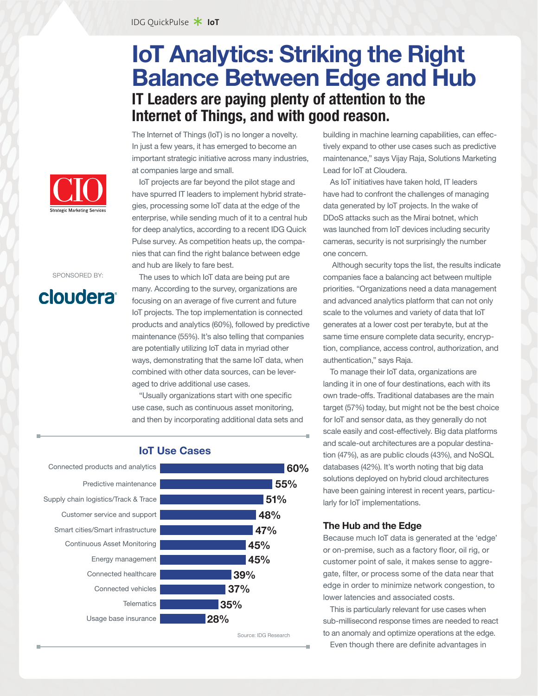## **IoT Analytics: Striking the Right Balance Between Edge and Hub IT Leaders are paying plenty of attention to the Internet of Things, and with good reason.**

The Internet of Things (IoT) is no longer a novelty. In just a few years, it has emerged to become an important strategic initiative across many industries, at companies large and small.

IoT projects are far beyond the pilot stage and have spurred IT leaders to implement hybrid strategies, processing some IoT data at the edge of the enterprise, while sending much of it to a central hub



SPONSORED BY:

cloudera<sup>®</sup>

for deep analytics, according to a recent IDG Quick Pulse survey. As competition heats up, the companies that can find the right balance between edge and hub are likely to fare best.

The uses to which IoT data are being put are many. According to the survey, organizations are focusing on an average of five current and future IoT projects. The top implementation is connected products and analytics (60%), followed by predictive maintenance (55%). It's also telling that companies are potentially utilizing IoT data in myriad other ways, demonstrating that the same IoT data, when combined with other data sources, can be leveraged to drive additional use cases.

"Usually organizations start with one specific use case, such as continuous asset monitoring, and then by incorporating additional data sets and



building in machine learning capabilities, can effectively expand to other use cases such as predictive maintenance," says Vijay Raja, Solutions Marketing Lead for IoT at Cloudera.

As IoT initiatives have taken hold, IT leaders have had to confront the challenges of managing data generated by IoT projects. In the wake of DDoS attacks such as the Mirai botnet, which was launched from IoT devices including security cameras, security is not surprisingly the number one concern.

 Although security tops the list, the results indicate companies face a balancing act between multiple priorities. "Organizations need a data management and advanced analytics platform that can not only scale to the volumes and variety of data that IoT generates at a lower cost per terabyte, but at the same time ensure complete data security, encryption, compliance, access control, authorization, and authentication," says Raja.

To manage their IoT data, organizations are landing it in one of four destinations, each with its own trade-offs. Traditional databases are the main target (57%) today, but might not be the best choice for IoT and sensor data, as they generally do not scale easily and cost-effectively. Big data platforms and scale-out architectures are a popular destination (47%), as are public clouds (43%), and NoSQL databases (42%). It's worth noting that big data solutions deployed on hybrid cloud architectures have been gaining interest in recent years, particularly for IoT implementations.

## **The Hub and the Edge**

Because much IoT data is generated at the 'edge' or on-premise, such as a factory floor, oil rig, or customer point of sale, it makes sense to aggregate, filter, or process some of the data near that edge in order to minimize network congestion, to lower latencies and associated costs.

This is particularly relevant for use cases when sub-millisecond response times are needed to react to an anomaly and optimize operations at the edge.

Even though there are definite advantages in